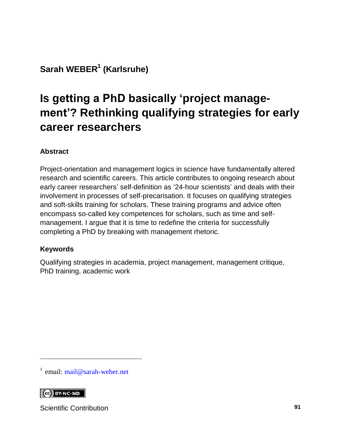#### **Sarah WEBER<sup>1</sup> (Karlsruhe)**

# **Is getting a PhD basically 'project management'? Rethinking qualifying strategies for early career researchers**

#### **Abstract**

Project-orientation and management logics in science have fundamentally altered research and scientific careers. This article contributes to ongoing research about early career researchers' self-definition as '24-hour scientists' and deals with their involvement in processes of self-precarisation. It focuses on qualifying strategies and soft-skills training for scholars. These training programs and advice often encompass so-called key competences for scholars, such as time and selfmanagement. I argue that it is time to redefine the criteria for successfully completing a PhD by breaking with management rhetoric.

#### **Keywords**

Qualifying strategies in academia, project management, management critique, PhD training, academic work

<sup>1</sup> email: [mail@sarah-weber.net](mailto:mail@sarah-weber.net)

#### $\left[\begin{array}{cc} \text{CC} \end{array}\right]$  BY-NC-ND

l

Scientific Contribution **91**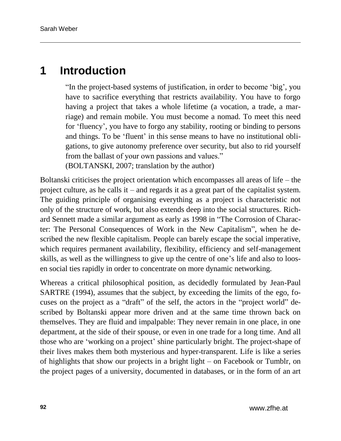#### **1 Introduction**

"In the project-based systems of justification, in order to become 'big', you have to sacrifice everything that restricts availability. You have to forgo having a project that takes a whole lifetime (a vocation, a trade, a marriage) and remain mobile. You must become a nomad. To meet this need for 'fluency', you have to forgo any stability, rooting or binding to persons and things. To be 'fluent' in this sense means to have no institutional obligations, to give autonomy preference over security, but also to rid yourself from the ballast of your own passions and values." (BOLTANSKI, 2007; translation by the author)

Boltanski criticises the project orientation which encompasses all areas of life – the project culture, as he calls it – and regards it as a great part of the capitalist system. The guiding principle of organising everything as a project is characteristic not only of the structure of work, but also extends deep into the social structures. Richard Sennett made a similar argument as early as 1998 in "The Corrosion of Character: The Personal Consequences of Work in the New Capitalism", when he described the new flexible capitalism. People can barely escape the social imperative, which requires permanent availability, flexibility, efficiency and self-management skills, as well as the willingness to give up the centre of one's life and also to loosen social ties rapidly in order to concentrate on more dynamic networking.

Whereas a critical philosophical position, as decidedly formulated by Jean-Paul SARTRE (1994), assumes that the subject, by exceeding the limits of the ego, focuses on the project as a "draft" of the self, the actors in the "project world" described by Boltanski appear more driven and at the same time thrown back on themselves. They are fluid and impalpable: They never remain in one place, in one department, at the side of their spouse, or even in one trade for a long time. And all those who are 'working on a project' shine particularly bright. The project-shape of their lives makes them both mysterious and hyper-transparent. Life is like a series of highlights that show our projects in a bright light – on Facebook or Tumblr, on the project pages of a university, documented in databases, or in the form of an art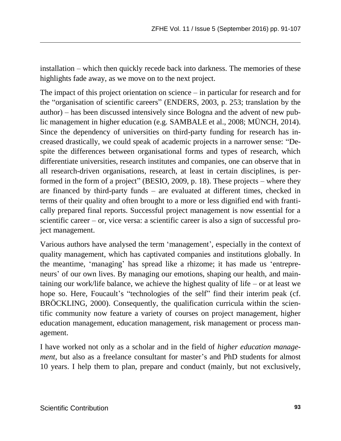installation – which then quickly recede back into darkness. The memories of these highlights fade away, as we move on to the next project.

The impact of this project orientation on science – in particular for research and for the "organisation of scientific careers" (ENDERS, 2003, p. 253; translation by the author) – has been discussed intensively since Bologna and the advent of new public management in higher education (e.g. SAMBALE et al., 2008; MÜNCH, 2014). Since the dependency of universities on third-party funding for research has increased drastically, we could speak of academic projects in a narrower sense: "Despite the differences between organisational forms and types of research, which differentiate universities, research institutes and companies, one can observe that in all research-driven organisations, research, at least in certain disciplines, is performed in the form of a project" (BESIO, 2009, p. 18). These projects – where they are financed by third-party funds – are evaluated at different times, checked in terms of their quality and often brought to a more or less dignified end with frantically prepared final reports. Successful project management is now essential for a scientific career – or, vice versa: a scientific career is also a sign of successful project management.

Various authors have analysed the term 'management', especially in the context of quality management, which has captivated companies and institutions globally. In the meantime, 'managing' has spread like a rhizome; it has made us 'entrepreneurs' of our own lives. By managing our emotions, shaping our health, and maintaining our work/life balance, we achieve the highest quality of life – or at least we hope so. Here, Foucault's "technologies of the self" find their interim peak (cf. BRÖCKLING, 2000). Consequently, the qualification curricula within the scientific community now feature a variety of courses on project management, higher education management, education management, risk management or process management.

I have worked not only as a scholar and in the field of *higher education management,* but also as a freelance consultant for master's and PhD students for almost 10 years. I help them to plan, prepare and conduct (mainly, but not exclusively,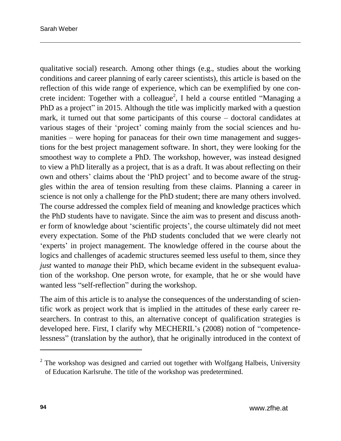qualitative social) research. Among other things (e.g., studies about the working conditions and career planning of early career scientists), this article is based on the reflection of this wide range of experience, which can be exemplified by one concrete incident: Together with a colleague<sup>2</sup>, I held a course entitled "Managing a PhD as a project" in 2015. Although the title was implicitly marked with a question mark, it turned out that some participants of this course – doctoral candidates at various stages of their 'project' coming mainly from the social sciences and humanities – were hoping for panaceas for their own time management and suggestions for the best project management software. In short, they were looking for the smoothest way to complete a PhD. The workshop, however, was instead designed to view a PhD literally as a project, that is as a draft. It was about reflecting on their own and others' claims about the 'PhD project' and to become aware of the struggles within the area of tension resulting from these claims. Planning a career in science is not only a challenge for the PhD student; there are many others involved. The course addressed the complex field of meaning and knowledge practices which the PhD students have to navigate. Since the aim was to present and discuss another form of knowledge about 'scientific projects', the course ultimately did not meet every expectation. Some of the PhD students concluded that we were clearly not 'experts' in project management. The knowledge offered in the course about the logics and challenges of academic structures seemed less useful to them, since they *just* wanted to *manage* their PhD, which became evident in the subsequent evaluation of the workshop. One person wrote, for example, that he or she would have wanted less "self-reflection" during the workshop.

The aim of this article is to analyse the consequences of the understanding of scientific work as project work that is implied in the attitudes of these early career researchers. In contrast to this, an alternative concept of qualification strategies is developed here. First, I clarify why MECHERIL's (2008) notion of "competencelessness" (translation by the author), that he originally introduced in the context of

 $\overline{a}$ 

 $2$  The workshop was designed and carried out together with Wolfgang Halbeis, University of Education Karlsruhe. The title of the workshop was predetermined.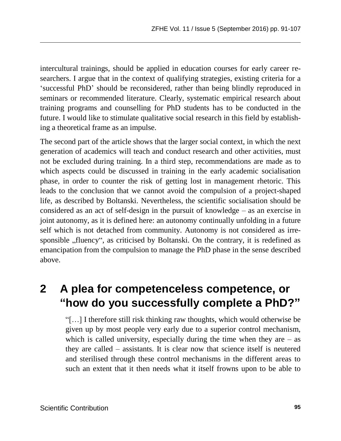intercultural trainings, should be applied in education courses for early career researchers. I argue that in the context of qualifying strategies, existing criteria for a 'successful PhD' should be reconsidered, rather than being blindly reproduced in seminars or recommended literature. Clearly, systematic empirical research about training programs and counselling for PhD students has to be conducted in the future. I would like to stimulate qualitative social research in this field by establishing a theoretical frame as an impulse.

The second part of the article shows that the larger social context, in which the next generation of academics will teach and conduct research and other activities, must not be excluded during training. In a third step, recommendations are made as to which aspects could be discussed in training in the early academic socialisation phase, in order to counter the risk of getting lost in management rhetoric. This leads to the conclusion that we cannot avoid the compulsion of a project-shaped life, as described by Boltanski. Nevertheless, the scientific socialisation should be considered as an act of self-design in the pursuit of knowledge – as an exercise in joint autonomy, as it is defined here: an autonomy continually unfolding in a future self which is not detached from community. Autonomy is not considered as irresponsible "fluency", as criticised by Boltanski. On the contrary, it is redefined as emancipation from the compulsion to manage the PhD phase in the sense described above.

### **2 A plea for competenceless competence, or "how do you successfully complete a PhD?"**

"[…] I therefore still risk thinking raw thoughts, which would otherwise be given up by most people very early due to a superior control mechanism, which is called university, especially during the time when they are  $-$  as they are called – assistants. It is clear now that science itself is neutered and sterilised through these control mechanisms in the different areas to such an extent that it then needs what it itself frowns upon to be able to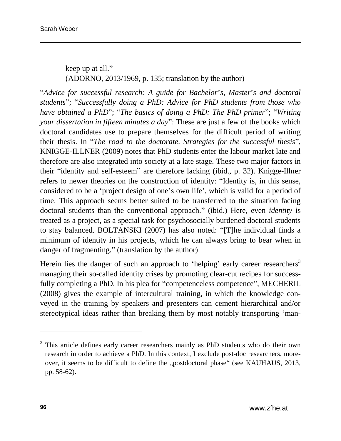keep up at all." (ADORNO, 2013/1969, p. 135; translation by the author)

"*Advice for successful research: A guide for Bachelor*'*s, Master*'*s and doctoral students*"; "*Successfully doing a PhD: Advice for PhD students from those who have obtained a PhD*"; "*The basics of doing a PhD: The PhD primer*"; "*Writing your dissertation in fifteen minutes a day*": These are just a few of the books which doctoral candidates use to prepare themselves for the difficult period of writing their thesis. In "*The road to the doctorate. Strategies for the successful thesis*", KNIGGE-ILLNER (2009) notes that PhD students enter the labour market late and therefore are also integrated into society at a late stage. These two major factors in their "identity and self-esteem" are therefore lacking (ibid., p. 32). Knigge-Illner refers to newer theories on the construction of identity: "Identity is, in this sense, considered to be a 'project design of one's own life', which is valid for a period of time. This approach seems better suited to be transferred to the situation facing doctoral students than the conventional approach." (ibid.) Here, even *identity* is treated as a project, as a special task for psychosocially burdened doctoral students to stay balanced. BOLTANSKI (2007) has also noted: "[T]he individual finds a minimum of identity in his projects, which he can always bring to bear when in danger of fragmenting." (translation by the author)

Herein lies the danger of such an approach to 'helping' early career researchers<sup>3</sup> managing their so-called identity crises by promoting clear-cut recipes for successfully completing a PhD. In his plea for "competenceless competence", MECHERIL (2008) gives the example of intercultural training, in which the knowledge conveyed in the training by speakers and presenters can cement hierarchical and/or stereotypical ideas rather than breaking them by most notably transporting 'man-

l

<sup>&</sup>lt;sup>3</sup> This article defines early career researchers mainly as PhD students who do their own research in order to achieve a PhD. In this context, I exclude post-doc researchers, moreover, it seems to be difficult to define the "postdoctoral phase" (see KAUHAUS, 2013, pp. 58-62).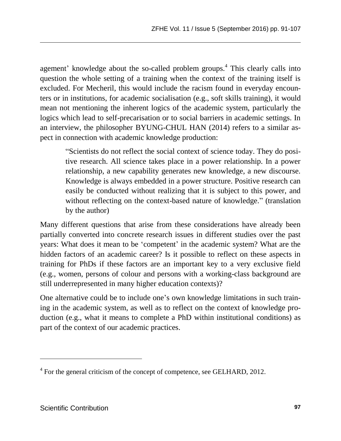agement' knowledge about the so-called problem groups.<sup>4</sup> This clearly calls into question the whole setting of a training when the context of the training itself is excluded. For Mecheril, this would include the racism found in everyday encounters or in institutions, for academic socialisation (e.g., soft skills training), it would mean not mentioning the inherent logics of the academic system, particularly the logics which lead to self-precarisation or to social barriers in academic settings. In an interview, the philosopher BYUNG-CHUL HAN (2014) refers to a similar aspect in connection with academic knowledge production:

"Scientists do not reflect the social context of science today. They do positive research. All science takes place in a power relationship. In a power relationship, a new capability generates new knowledge, a new discourse. Knowledge is always embedded in a power structure. Positive research can easily be conducted without realizing that it is subject to this power, and without reflecting on the context-based nature of knowledge." (translation by the author)

Many different questions that arise from these considerations have already been partially converted into concrete research issues in different studies over the past years: What does it mean to be 'competent' in the academic system? What are the hidden factors of an academic career? Is it possible to reflect on these aspects in training for PhDs if these factors are an important key to a very exclusive field (e.g., women, persons of colour and persons with a working-class background are still underrepresented in many higher education contexts)?

One alternative could be to include one's own knowledge limitations in such training in the academic system, as well as to reflect on the context of knowledge production (e.g., what it means to complete a PhD within institutional conditions) as part of the context of our academic practices.

l

<sup>&</sup>lt;sup>4</sup> For the general criticism of the concept of competence, see GELHARD, 2012.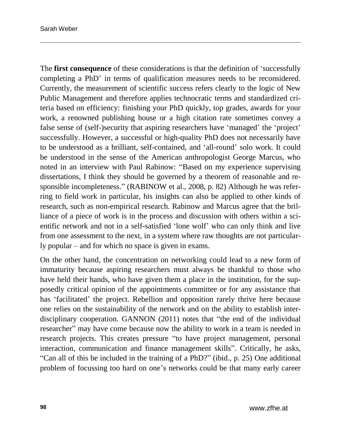The **first consequence** of these considerations is that the definition of 'successfully completing a PhD' in terms of qualification measures needs to be reconsidered. Currently, the measurement of scientific success refers clearly to the logic of New Public Management and therefore applies technocratic terms and standardized criteria based on efficiency: finishing your PhD quickly, top grades, awards for your work, a renowned publishing house or a high citation rate sometimes convey a false sense of (self-)security that aspiring researchers have 'managed' the 'project' successfully. However, a successful or high-quality PhD does not necessarily have to be understood as a brilliant, self-contained, and 'all-round' solo work. It could be understood in the sense of the American anthropologist George Marcus, who noted in an interview with Paul Rabinow: "Based on my experience supervising dissertations, I think they should be governed by a theorem of reasonable and responsible incompleteness." (RABINOW et al., 2008, p. 82) Although he was referring to field work in particular, his insights can also be applied to other kinds of research, such as non-empirical research. Rabinow and Marcus agree that the brilliance of a piece of work is in the process and discussion with others within a scientific network and not in a self-satisfied 'lone wolf' who can only think and live from one assessment to the next, in a system where raw thoughts are not particularly popular – and for which no space is given in exams.

On the other hand, the concentration on networking could lead to a new form of immaturity because aspiring researchers must always be thankful to those who have held their hands, who have given them a place in the institution, for the supposedly critical opinion of the appointments committee or for any assistance that has 'facilitated' the project. Rebellion and opposition rarely thrive here because one relies on the sustainability of the network and on the ability to establish interdisciplinary cooperation. GANNON (2011) notes that "the end of the individual researcher" may have come because now the ability to work in a team is needed in research projects. This creates pressure "to have project management, personal interaction, communication and finance management skills". Critically, he asks, "Can all of this be included in the training of a PhD?" (ibid., p. 25) One additional problem of focussing too hard on one's networks could be that many early career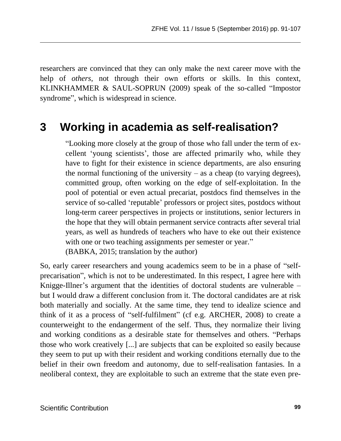researchers are convinced that they can only make the next career move with the help of *others*, not through their own efforts or skills. In this context, KLINKHAMMER & SAUL-SOPRUN (2009) speak of the so-called "Impostor syndrome", which is widespread in science.

### **3 Working in academia as self-realisation?**

"Looking more closely at the group of those who fall under the term of excellent 'young scientists', those are affected primarily who, while they have to fight for their existence in science departments, are also ensuring the normal functioning of the university  $-$  as a cheap (to varying degrees), committed group, often working on the edge of self-exploitation. In the pool of potential or even actual precariat, postdocs find themselves in the service of so-called 'reputable' professors or project sites, postdocs without long-term career perspectives in projects or institutions, senior lecturers in the hope that they will obtain permanent service contracts after several trial years, as well as hundreds of teachers who have to eke out their existence with one or two teaching assignments per semester or year."

(BABKA, 2015; translation by the author)

So, early career researchers and young academics seem to be in a phase of "selfprecarisation", which is not to be underestimated. In this respect, I agree here with Knigge-Illner's argument that the identities of doctoral students are vulnerable – but I would draw a different conclusion from it. The doctoral candidates are at risk both materially and socially. At the same time, they tend to idealize science and think of it as a process of "self-fulfilment" (cf e.g. ARCHER, 2008) to create a counterweight to the endangerment of the self. Thus, they normalize their living and working conditions as a desirable state for themselves and others. "Perhaps those who work creatively [...] are subjects that can be exploited so easily because they seem to put up with their resident and working conditions eternally due to the belief in their own freedom and autonomy, due to self-realisation fantasies. In a neoliberal context, they are exploitable to such an extreme that the state even pre-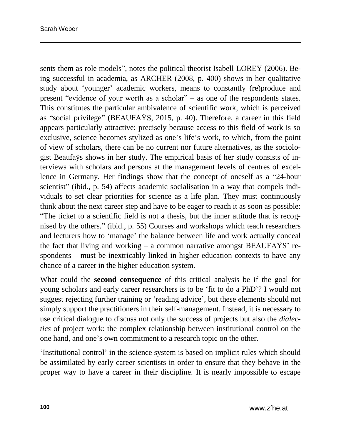sents them as role models", notes the political theorist Isabell LOREY (2006). Being successful in academia, as ARCHER (2008, p. 400) shows in her qualitative study about 'younger' academic workers, means to constantly (re)produce and present "evidence of your worth as a scholar" – as one of the respondents states. This constitutes the particular ambivalence of scientific work, which is perceived as "social privilege" (BEAUFAŸS, 2015, p. 40). Therefore, a career in this field appears particularly attractive: precisely because access to this field of work is so exclusive, science becomes stylized as one's life's work, to which, from the point of view of scholars, there can be no current nor future alternatives, as the sociologist Beaufaÿs shows in her study. The empirical basis of her study consists of interviews with scholars and persons at the management levels of centres of excellence in Germany. Her findings show that the concept of oneself as a "24-hour scientist" (ibid., p. 54) affects academic socialisation in a way that compels individuals to set clear priorities for science as a life plan. They must continuously think about the next career step and have to be eager to reach it as soon as possible: "The ticket to a scientific field is not a thesis, but the inner attitude that is recognised by the others." (ibid., p. 55) Courses and workshops which teach researchers and lecturers how to 'manage' the balance between life and work actually conceal the fact that living and working – a common narrative amongst BEAUFAŸS' respondents – must be inextricably linked in higher education contexts to have any chance of a career in the higher education system.

What could the **second consequence** of this critical analysis be if the goal for young scholars and early career researchers is to be 'fit to do a PhD'? I would not suggest rejecting further training or 'reading advice', but these elements should not simply support the practitioners in their self-management. Instead, it is necessary to use critical dialogue to discuss not only the success of projects but also the *dialectics* of project work: the complex relationship between institutional control on the one hand, and one's own commitment to a research topic on the other.

'Institutional control' in the science system is based on implicit rules which should be assimilated by early career scientists in order to ensure that they behave in the proper way to have a career in their discipline. It is nearly impossible to escape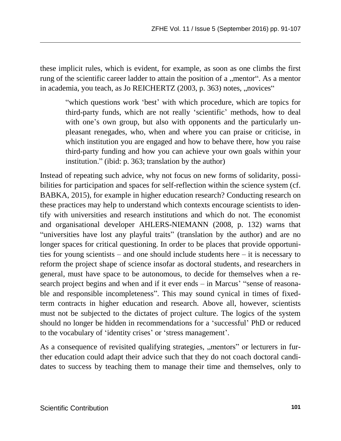these implicit rules, which is evident, for example, as soon as one climbs the first rung of the scientific career ladder to attain the position of a "mentor". As a mentor in academia, you teach, as Jo REICHERTZ (2003, p. 363) notes, "novices"

"which questions work 'best' with which procedure, which are topics for third-party funds, which are not really 'scientific' methods, how to deal with one's own group, but also with opponents and the particularly unpleasant renegades, who, when and where you can praise or criticise, in which institution you are engaged and how to behave there, how you raise third-party funding and how you can achieve your own goals within your institution." (ibid: p. 363; translation by the author)

Instead of repeating such advice, why not focus on new forms of solidarity, possibilities for participation and spaces for self-reflection within the science system (cf. BABKA, 2015), for example in higher education research? Conducting research on these practices may help to understand which contexts encourage scientists to identify with universities and research institutions and which do not. The economist and organisational developer AHLERS-NIEMANN (2008, p. 132) warns that "universities have lost any playful traits" (translation by the author) and are no longer spaces for critical questioning. In order to be places that provide opportunities for young scientists – and one should include students here – it is necessary to reform the project shape of science insofar as doctoral students, and researchers in general, must have space to be autonomous, to decide for themselves when a research project begins and when and if it ever ends – in Marcus' "sense of reasonable and responsible incompleteness". This may sound cynical in times of fixedterm contracts in higher education and research. Above all, however, scientists must not be subjected to the dictates of project culture. The logics of the system should no longer be hidden in recommendations for a 'successful' PhD or reduced to the vocabulary of 'identity crises' or 'stress management'.

As a consequence of revisited qualifying strategies, "mentors" or lecturers in further education could adapt their advice such that they do not coach doctoral candidates to success by teaching them to manage their time and themselves, only to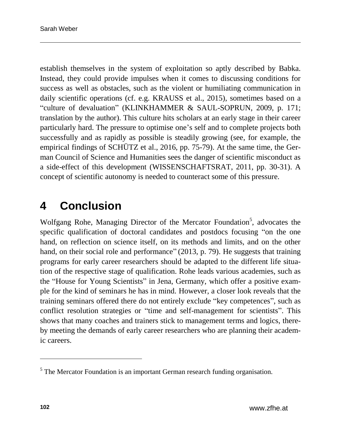establish themselves in the system of exploitation so aptly described by Babka. Instead, they could provide impulses when it comes to discussing conditions for success as well as obstacles, such as the violent or humiliating communication in daily scientific operations (cf. e.g. KRAUSS et al., 2015), sometimes based on a "culture of devaluation" (KLINKHAMMER & SAUL-SOPRUN, 2009, p. 171; translation by the author). This culture hits scholars at an early stage in their career particularly hard. The pressure to optimise one's self and to complete projects both successfully and as rapidly as possible is steadily growing (see, for example, the empirical findings of SCHÜTZ et al., 2016, pp. 75-79). At the same time, the German Council of Science and Humanities sees the danger of scientific misconduct as a side-effect of this development (WISSENSCHAFTSRAT, 2011, pp. 30-31). A concept of scientific autonomy is needed to counteract some of this pressure.

### **4 Conclusion**

Wolfgang Rohe, Managing Director of the Mercator Foundation<sup>5</sup>, advocates the specific qualification of doctoral candidates and postdocs focusing "on the one hand, on reflection on science itself, on its methods and limits, and on the other hand, on their social role and performance" (2013, p. 79). He suggests that training programs for early career researchers should be adapted to the different life situation of the respective stage of qualification. Rohe leads various academies, such as the "House for Young Scientists" in Jena, Germany, which offer a positive example for the kind of seminars he has in mind. However, a closer look reveals that the training seminars offered there do not entirely exclude "key competences", such as conflict resolution strategies or "time and self-management for scientists". This shows that many coaches and trainers stick to management terms and logics, thereby meeting the demands of early career researchers who are planning their academic careers.

l

<sup>&</sup>lt;sup>5</sup> The Mercator Foundation is an important German research funding organisation.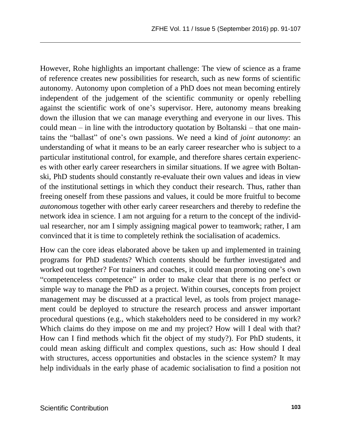However, Rohe highlights an important challenge: The view of science as a frame of reference creates new possibilities for research, such as new forms of scientific autonomy. Autonomy upon completion of a PhD does not mean becoming entirely independent of the judgement of the scientific community or openly rebelling against the scientific work of one's supervisor. Here, autonomy means breaking down the illusion that we can manage everything and everyone in our lives. This could mean – in line with the introductory quotation by Boltanski – that one maintains the "ballast" of one's own passions. We need a kind of *joint autonomy*: an understanding of what it means to be an early career researcher who is subject to a particular institutional control, for example, and therefore shares certain experiences with other early career researchers in similar situations. If we agree with Boltanski, PhD students should constantly re-evaluate their own values and ideas in view of the institutional settings in which they conduct their research. Thus, rather than freeing oneself from these passions and values, it could be more fruitful to become *autonomous* together with other early career researchers and thereby to redefine the network idea in science. I am not arguing for a return to the concept of the individual researcher, nor am I simply assigning magical power to teamwork; rather, I am convinced that it is time to completely rethink the socialisation of academics.

How can the core ideas elaborated above be taken up and implemented in training programs for PhD students? Which contents should be further investigated and worked out together? For trainers and coaches, it could mean promoting one's own "competenceless competence" in order to make clear that there is no perfect or simple way to manage the PhD as a project. Within courses, concepts from project management may be discussed at a practical level, as tools from project management could be deployed to structure the research process and answer important procedural questions (e.g., which stakeholders need to be considered in my work? Which claims do they impose on me and my project? How will I deal with that? How can I find methods which fit the object of my study?). For PhD students, it could mean asking difficult and complex questions, such as: How should I deal with structures, access opportunities and obstacles in the science system? It may help individuals in the early phase of academic socialisation to find a position not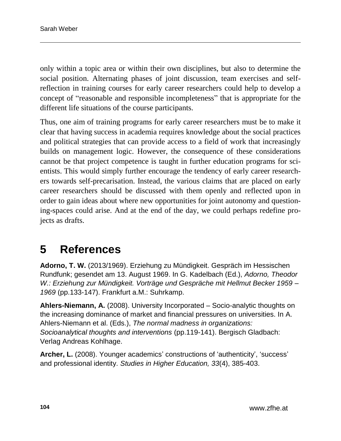only within a topic area or within their own disciplines, but also to determine the social position. Alternating phases of joint discussion, team exercises and selfreflection in training courses for early career researchers could help to develop a concept of "reasonable and responsible incompleteness" that is appropriate for the different life situations of the course participants.

Thus, one aim of training programs for early career researchers must be to make it clear that having success in academia requires knowledge about the social practices and political strategies that can provide access to a field of work that increasingly builds on management logic. However, the consequence of these considerations cannot be that project competence is taught in further education programs for scientists. This would simply further encourage the tendency of early career researchers towards self-precarisation. Instead, the various claims that are placed on early career researchers should be discussed with them openly and reflected upon in order to gain ideas about where new opportunities for joint autonomy and questioning-spaces could arise. And at the end of the day, we could perhaps redefine projects as drafts.

### **5 References**

**Adorno, T. W.** (2013/1969). Erziehung zu Mündigkeit. Gespräch im Hessischen Rundfunk; gesendet am 13. August 1969. In G. Kadelbach (Ed.), *Adorno, Theodor W.: Erziehung zur Mündigkeit. Vorträge und Gespräche mit Hellmut Becker 1959 – 1969* (pp.133-147). Frankfurt a.M.: Suhrkamp.

**Ahlers-Niemann, A.** (2008). University Incorporated – Socio-analytic thoughts on the increasing dominance of market and financial pressures on universities. In A. Ahlers-Niemann et al. (Eds.), *The normal madness in organizations: Socioanalytical thoughts and interventions* (pp.119-141). Bergisch Gladbach: Verlag Andreas Kohlhage.

**Archer, L.** (2008). Younger academics' constructions of 'authenticity', 'success' and professional identity. *Studies in Higher Education, 33*(4), 385-403.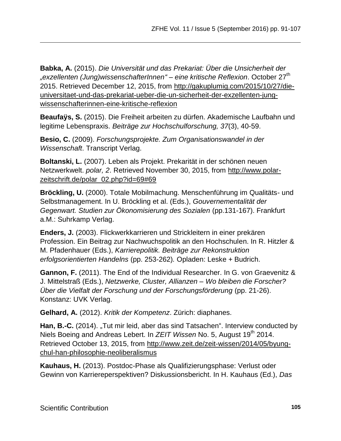**Babka, A.** (2015). *Die Universität und das Prekariat: Über die Unsicherheit der "exzellenten (Jung)wissenschafterInnen" – eine kritische Reflexion*. October 27th 2015. Retrieved December 12, 2015, from [http://gakuplumig.com/2015/10/27/die](http://gakuplumig.com/2015/10/27/die-universitaet-und-das-prekariat-ueber-die-un-sicherheit-der-exzellenten-jung-wissenschafterinnen-eine-kritische-reflexion)[universitaet-und-das-prekariat-ueber-die-un-sicherheit-der-exzellenten-jung](http://gakuplumig.com/2015/10/27/die-universitaet-und-das-prekariat-ueber-die-un-sicherheit-der-exzellenten-jung-wissenschafterinnen-eine-kritische-reflexion)[wissenschafterinnen-eine-kritische-reflexion](http://gakuplumig.com/2015/10/27/die-universitaet-und-das-prekariat-ueber-die-un-sicherheit-der-exzellenten-jung-wissenschafterinnen-eine-kritische-reflexion)

**Beaufaÿs, S.** (2015). Die Freiheit arbeiten zu dürfen. Akademische Laufbahn und legitime Lebenspraxis. *Beiträge zur Hochschulforschung, 37*(3), 40-59.

**Besio, C.** (2009). *Forschungsprojekte. Zum Organisationswandel in der Wissenschaft*. Transcript Verlag.

**Boltanski, L.** (2007). Leben als Projekt. Prekarität in der schönen neuen Netzwerkwelt. *polar, 2*. Retrieved November 30, 2015, from [http://www.polar](http://www.polar-zeitschrift.de/polar_02.php?id=69#69)[zeitschrift.de/polar\\_02.php?id=69#69](http://www.polar-zeitschrift.de/polar_02.php?id=69#69)

**Bröckling, U.** (2000). Totale Mobilmachung. Menschenführung im Qualitäts- und Selbstmanagement. In U. Bröckling et al. (Eds.), *Gouvernementalität der Gegenwart. Studien zur Ökonomisierung des Sozialen* (pp.131-167). Frankfurt a.M.: Suhrkamp Verlag.

**Enders, J.** (2003). Flickwerkkarrieren und Strickleitern in einer prekären Profession. Ein Beitrag zur Nachwuchspolitik an den Hochschulen. In R. Hitzler & M. Pfadenhauer (Eds.), *Karrierepolitik. Beiträge zur Rekonstruktion erfolgsorientierten Handelns* (pp. 253-262)*.* Opladen: Leske + Budrich.

**Gannon, F.** (2011). The End of the Individual Researcher. In G. von Graevenitz & J. Mittelstraß (Eds.), *Netzwerke, Cluster, Allianzen – Wo bleiben die Forscher? Über die Vielfalt der Forschung und der Forschungsförderung* (pp. 21-26). Konstanz: UVK Verlag.

**Gelhard, A.** (2012). *Kritik der Kompetenz*. Zürich: diaphanes.

**Han, B.-C.** (2014). "Tut mir leid, aber das sind Tatsachen". Interview conducted by Niels Boeing and Andreas Lebert. In *ZEIT Wissen* No. 5, August 19<sup>th</sup> 2014. Retrieved October 13, 2015, from [http://www.zeit.de/zeit-wissen/2014/05/byung](http://www.zeit.de/zeit-wissen/2014/05/byung-chul-han-philosophie-neoliberalismus)[chul-han-philosophie-neoliberalismus](http://www.zeit.de/zeit-wissen/2014/05/byung-chul-han-philosophie-neoliberalismus)

**Kauhaus, H.** (2013). Postdoc-Phase als Qualifizierungsphase: Verlust oder Gewinn von Karriereperspektiven? Diskussionsbericht. In H. Kauhaus (Ed.), *Das*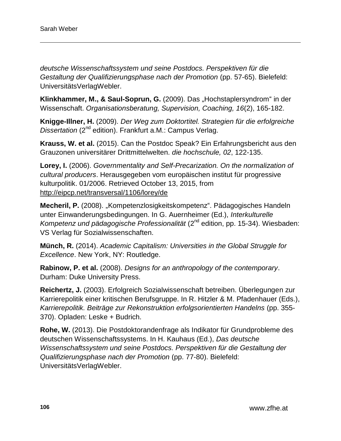*deutsche Wissenschaftssystem und seine Postdocs. Perspektiven für die Gestaltung der Qualifizierungsphase nach der Promotion* (pp. 57-65). Bielefeld: UniversitätsVerlagWebler.

**Klinkhammer, M., & Saul-Soprun, G.** (2009). Das "Hochstaplersyndrom" in der Wissenschaft. *Organisationsberatung, Supervision, Coaching, 16*(2), 165-182.

**Knigge-Illner, H.** (2009). *Der Weg zum Doktortitel. Strategien für die erfolgreiche Dissertation* (2<sup>nd</sup> edition). Frankfurt a.M.: Campus Verlag.

**Krauss, W. et al.** (2015). Can the Postdoc Speak? Ein Erfahrungsbericht aus den Grauzonen universitärer Drittmittelwelten. *die hochschule, 02*, 122-135.

**Lorey, I.** (2006). *Governmentality and Self-Precarization. On the normalization of cultural producers*. Herausgegeben vom europäischen institut für progressive kulturpolitik. 01/2006. Retrieved October 13, 2015, from <http://eipcp.net/transversal/1106/lorey/de>

Mecheril, P. (2008). "Kompetenzlosigkeitskompetenz". Pädagogisches Handeln unter Einwanderungsbedingungen. In G. Auernheimer (Ed.), *Interkulturelle Kompetenz und pädagogische Professionalität* (2nd edition, pp. 15-34). Wiesbaden: VS Verlag für Sozialwissenschaften.

**Münch, R.** (2014). *Academic Capitalism: Universities in the Global Struggle for Excellence*. New York, NY: Routledge.

**Rabinow, P. et al.** (2008). *Designs for an anthropology of the contemporary*. Durham: Duke University Press.

**Reichertz, J.** (2003). Erfolgreich Sozialwissenschaft betreiben. Überlegungen zur Karrierepolitik einer kritischen Berufsgruppe. In R. Hitzler & M. Pfadenhauer (Eds.), *Karrierepolitik. Beiträge zur Rekonstruktion erfolgsorientierten Handelns* (pp. 355- 370). Opladen: Leske + Budrich.

**Rohe, W.** (2013). Die Postdoktorandenfrage als Indikator für Grundprobleme des deutschen Wissenschaftssystems. In H. Kauhaus (Ed.), *Das deutsche Wissenschaftssystem und seine Postdocs. Perspektiven für die Gestaltung der Qualifizierungsphase nach der Promotion* (pp. 77-80). Bielefeld: UniversitätsVerlagWebler.